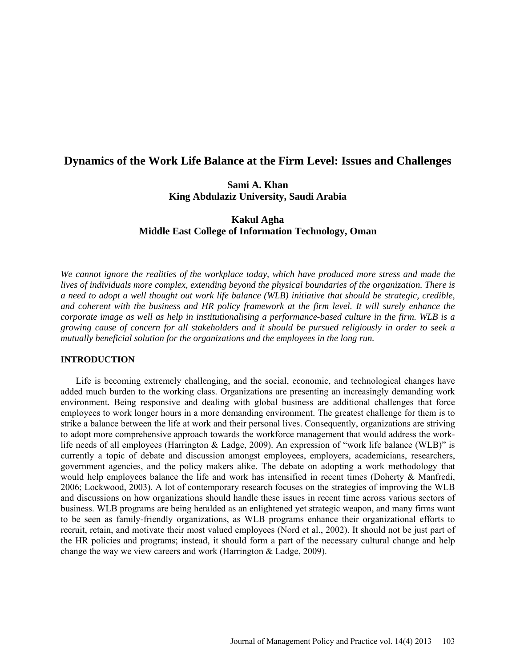# **Dynamics of the Work Life Balance at the Firm Level: Issues and Challenges**

# **Sami A. Khan King Abdulaziz University, Saudi Arabia**

# **Kakul Agha Middle East College of Information Technology, Oman**

*We cannot ignore the realities of the workplace today, which have produced more stress and made the lives of individuals more complex, extending beyond the physical boundaries of the organization. There is a need to adopt a well thought out work life balance (WLB) initiative that should be strategic, credible, and coherent with the business and HR policy framework at the firm level. It will surely enhance the corporate image as well as help in institutionalising a performance-based culture in the firm. WLB is a growing cause of concern for all stakeholders and it should be pursued religiously in order to seek a mutually beneficial solution for the organizations and the employees in the long run.* 

## **INTRODUCTION**

Life is becoming extremely challenging, and the social, economic, and technological changes have added much burden to the working class. Organizations are presenting an increasingly demanding work environment. Being responsive and dealing with global business are additional challenges that force employees to work longer hours in a more demanding environment. The greatest challenge for them is to strike a balance between the life at work and their personal lives. Consequently, organizations are striving to adopt more comprehensive approach towards the workforce management that would address the worklife needs of all employees (Harrington & Ladge, 2009). An expression of "work life balance (WLB)" is currently a topic of debate and discussion amongst employees, employers, academicians, researchers, government agencies, and the policy makers alike. The debate on adopting a work methodology that would help employees balance the life and work has intensified in recent times (Doherty & Manfredi, 2006; Lockwood, 2003). A lot of contemporary research focuses on the strategies of improving the WLB and discussions on how organizations should handle these issues in recent time across various sectors of business. WLB programs are being heralded as an enlightened yet strategic weapon, and many firms want to be seen as family-friendly organizations, as WLB programs enhance their organizational efforts to recruit, retain, and motivate their most valued employees (Nord et al., 2002). It should not be just part of the HR policies and programs; instead, it should form a part of the necessary cultural change and help change the way we view careers and work (Harrington & Ladge, 2009).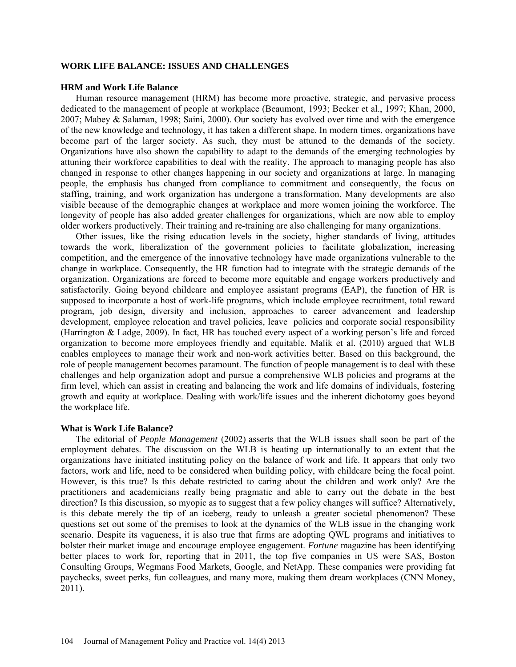## **WORK LIFE BALANCE: ISSUES AND CHALLENGES**

### **HRM and Work Life Balance**

Human resource management (HRM) has become more proactive, strategic, and pervasive process dedicated to the management of people at workplace (Beaumont, 1993; Becker et al., 1997; Khan, 2000, 2007; Mabey & Salaman, 1998; Saini, 2000). Our society has evolved over time and with the emergence of the new knowledge and technology, it has taken a different shape. In modern times, organizations have become part of the larger society. As such, they must be attuned to the demands of the society. Organizations have also shown the capability to adapt to the demands of the emerging technologies by attuning their workforce capabilities to deal with the reality. The approach to managing people has also changed in response to other changes happening in our society and organizations at large. In managing people, the emphasis has changed from compliance to commitment and consequently, the focus on staffing, training, and work organization has undergone a transformation. Many developments are also visible because of the demographic changes at workplace and more women joining the workforce. The longevity of people has also added greater challenges for organizations, which are now able to employ older workers productively. Their training and re-training are also challenging for many organizations.

Other issues, like the rising education levels in the society, higher standards of living, attitudes towards the work, liberalization of the government policies to facilitate globalization, increasing competition, and the emergence of the innovative technology have made organizations vulnerable to the change in workplace. Consequently, the HR function had to integrate with the strategic demands of the organization. Organizations are forced to become more equitable and engage workers productively and satisfactorily. Going beyond childcare and employee assistant programs (EAP), the function of HR is supposed to incorporate a host of work-life programs, which include employee recruitment, total reward program, job design, diversity and inclusion, approaches to career advancement and leadership development, employee relocation and travel policies, leave policies and corporate social responsibility (Harrington & Ladge, 2009). In fact, HR has touched every aspect of a working person's life and forced organization to become more employees friendly and equitable. Malik et al. (2010) argued that WLB enables employees to manage their work and non-work activities better. Based on this background, the role of people management becomes paramount. The function of people management is to deal with these challenges and help organization adopt and pursue a comprehensive WLB policies and programs at the firm level, which can assist in creating and balancing the work and life domains of individuals, fostering growth and equity at workplace. Dealing with work/life issues and the inherent dichotomy goes beyond the workplace life.

### **What is Work Life Balance?**

The editorial of *People Management* (2002) asserts that the WLB issues shall soon be part of the employment debates. The discussion on the WLB is heating up internationally to an extent that the organizations have initiated instituting policy on the balance of work and life. It appears that only two factors, work and life, need to be considered when building policy, with childcare being the focal point. However, is this true? Is this debate restricted to caring about the children and work only? Are the practitioners and academicians really being pragmatic and able to carry out the debate in the best direction? Is this discussion, so myopic as to suggest that a few policy changes will suffice? Alternatively, is this debate merely the tip of an iceberg, ready to unleash a greater societal phenomenon? These questions set out some of the premises to look at the dynamics of the WLB issue in the changing work scenario. Despite its vagueness, it is also true that firms are adopting QWL programs and initiatives to bolster their market image and encourage employee engagement. *Fortune* magazine has been identifying better places to work for, reporting that in 2011, the top five companies in US were SAS, Boston Consulting Groups, Wegmans Food Markets, Google, and NetApp. These companies were providing fat paychecks, sweet perks, fun colleagues, and many more, making them dream workplaces (CNN Money, 2011).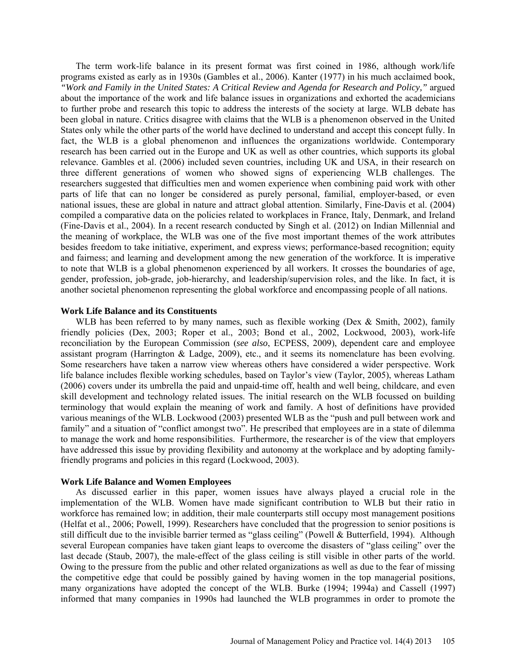The term work-life balance in its present format was first coined in 1986, although work/life programs existed as early as in 1930s (Gambles et al., 2006). Kanter (1977) in his much acclaimed book, *"Work and Family in the United States: A Critical Review and Agenda for Research and Policy,"* argued about the importance of the work and life balance issues in organizations and exhorted the academicians to further probe and research this topic to address the interests of the society at large. WLB debate has been global in nature. Critics disagree with claims that the WLB is a phenomenon observed in the United States only while the other parts of the world have declined to understand and accept this concept fully. In fact, the WLB is a global phenomenon and influences the organizations worldwide. Contemporary research has been carried out in the Europe and UK as well as other countries, which supports its global relevance. Gambles et al. (2006) included seven countries, including UK and USA, in their research on three different generations of women who showed signs of experiencing WLB challenges. The researchers suggested that difficulties men and women experience when combining paid work with other parts of life that can no longer be considered as purely personal, familial, employer-based, or even national issues, these are global in nature and attract global attention. Similarly, Fine-Davis et al. (2004) compiled a comparative data on the policies related to workplaces in France, Italy, Denmark, and Ireland (Fine-Davis et al., 2004). In a recent research conducted by Singh et al. (2012) on Indian Millennial and the meaning of workplace, the WLB was one of the five most important themes of the work attributes besides freedom to take initiative, experiment, and express views; performance-based recognition; equity and fairness; and learning and development among the new generation of the workforce. It is imperative to note that WLB is a global phenomenon experienced by all workers. It crosses the boundaries of age, gender, profession, job-grade, job-hierarchy, and leadership/supervision roles, and the like. In fact, it is another societal phenomenon representing the global workforce and encompassing people of all nations.

### **Work Life Balance and its Constituents**

WLB has been referred to by many names, such as flexible working (Dex  $\&$  Smith, 2002), family friendly policies (Dex, 2003; Roper et al., 2003; Bond et al., 2002, Lockwood, 2003), work-life reconciliation by the European Commission (*see also*, ECPESS, 2009), dependent care and employee assistant program (Harrington & Ladge, 2009), etc., and it seems its nomenclature has been evolving. Some researchers have taken a narrow view whereas others have considered a wider perspective. Work life balance includes flexible working schedules, based on Taylor's view (Taylor, 2005), whereas Latham (2006) covers under its umbrella the paid and unpaid-time off, health and well being, childcare, and even skill development and technology related issues. The initial research on the WLB focussed on building terminology that would explain the meaning of work and family. A host of definitions have provided various meanings of the WLB. Lockwood (2003) presented WLB as the "push and pull between work and family" and a situation of "conflict amongst two". He prescribed that employees are in a state of dilemma to manage the work and home responsibilities. Furthermore, the researcher is of the view that employers have addressed this issue by providing flexibility and autonomy at the workplace and by adopting familyfriendly programs and policies in this regard (Lockwood, 2003).

## **Work Life Balance and Women Employees**

As discussed earlier in this paper, women issues have always played a crucial role in the implementation of the WLB. Women have made significant contribution to WLB but their ratio in workforce has remained low; in addition, their male counterparts still occupy most management positions (Helfat et al., 2006; Powell, 1999). Researchers have concluded that the progression to senior positions is still difficult due to the invisible barrier termed as "glass ceiling" (Powell & Butterfield, 1994). Although several European companies have taken giant leaps to overcome the disasters of "glass ceiling" over the last decade (Staub, 2007), the male-effect of the glass ceiling is still visible in other parts of the world. Owing to the pressure from the public and other related organizations as well as due to the fear of missing the competitive edge that could be possibly gained by having women in the top managerial positions, many organizations have adopted the concept of the WLB. Burke (1994; 1994a) and Cassell (1997) informed that many companies in 1990s had launched the WLB programmes in order to promote the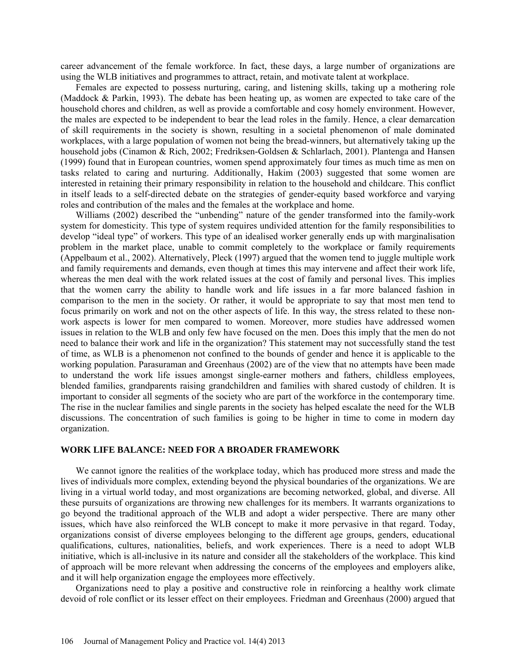career advancement of the female workforce. In fact, these days, a large number of organizations are using the WLB initiatives and programmes to attract, retain, and motivate talent at workplace.

Females are expected to possess nurturing, caring, and listening skills, taking up a mothering role (Maddock & Parkin, 1993). The debate has been heating up, as women are expected to take care of the household chores and children, as well as provide a comfortable and cosy homely environment. However, the males are expected to be independent to bear the lead roles in the family. Hence, a clear demarcation of skill requirements in the society is shown, resulting in a societal phenomenon of male dominated workplaces, with a large population of women not being the bread-winners, but alternatively taking up the household jobs (Cinamon & Rich, 2002; Fredriksen-Goldsen & Schlarlach, 2001). Plantenga and Hansen (1999) found that in European countries, women spend approximately four times as much time as men on tasks related to caring and nurturing. Additionally, Hakim (2003) suggested that some women are interested in retaining their primary responsibility in relation to the household and childcare. This conflict in itself leads to a self-directed debate on the strategies of gender-equity based workforce and varying roles and contribution of the males and the females at the workplace and home.

Williams (2002) described the "unbending" nature of the gender transformed into the family-work system for domesticity. This type of system requires undivided attention for the family responsibilities to develop "ideal type" of workers. This type of an idealised worker generally ends up with marginalisation problem in the market place, unable to commit completely to the workplace or family requirements (Appelbaum et al., 2002). Alternatively, Pleck (1997) argued that the women tend to juggle multiple work and family requirements and demands, even though at times this may intervene and affect their work life, whereas the men deal with the work related issues at the cost of family and personal lives. This implies that the women carry the ability to handle work and life issues in a far more balanced fashion in comparison to the men in the society. Or rather, it would be appropriate to say that most men tend to focus primarily on work and not on the other aspects of life. In this way, the stress related to these nonwork aspects is lower for men compared to women. Moreover, more studies have addressed women issues in relation to the WLB and only few have focused on the men. Does this imply that the men do not need to balance their work and life in the organization? This statement may not successfully stand the test of time, as WLB is a phenomenon not confined to the bounds of gender and hence it is applicable to the working population. Parasuraman and Greenhaus (2002) are of the view that no attempts have been made to understand the work life issues amongst single-earner mothers and fathers, childless employees, blended families, grandparents raising grandchildren and families with shared custody of children. It is important to consider all segments of the society who are part of the workforce in the contemporary time. The rise in the nuclear families and single parents in the society has helped escalate the need for the WLB discussions. The concentration of such families is going to be higher in time to come in modern day organization.

## **WORK LIFE BALANCE: NEED FOR A BROADER FRAMEWORK**

We cannot ignore the realities of the workplace today, which has produced more stress and made the lives of individuals more complex, extending beyond the physical boundaries of the organizations. We are living in a virtual world today, and most organizations are becoming networked, global, and diverse. All these pursuits of organizations are throwing new challenges for its members. It warrants organizations to go beyond the traditional approach of the WLB and adopt a wider perspective. There are many other issues, which have also reinforced the WLB concept to make it more pervasive in that regard. Today, organizations consist of diverse employees belonging to the different age groups, genders, educational qualifications, cultures, nationalities, beliefs, and work experiences. There is a need to adopt WLB initiative, which is all-inclusive in its nature and consider all the stakeholders of the workplace. This kind of approach will be more relevant when addressing the concerns of the employees and employers alike, and it will help organization engage the employees more effectively.

Organizations need to play a positive and constructive role in reinforcing a healthy work climate devoid of role conflict or its lesser effect on their employees. Friedman and Greenhaus (2000) argued that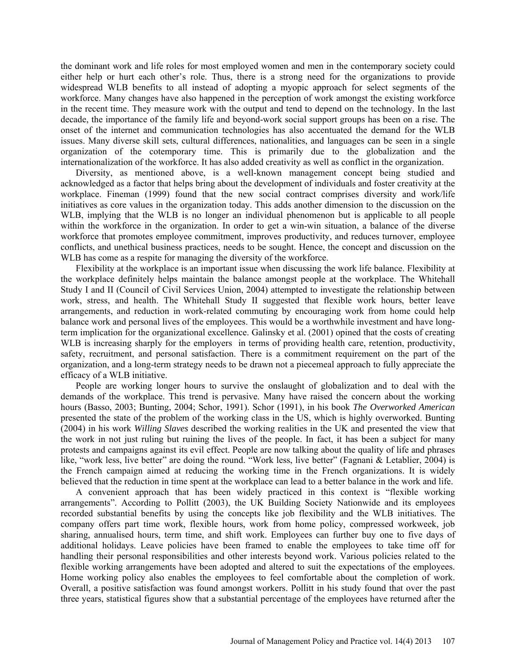the dominant work and life roles for most employed women and men in the contemporary society could either help or hurt each other's role. Thus, there is a strong need for the organizations to provide widespread WLB benefits to all instead of adopting a myopic approach for select segments of the workforce. Many changes have also happened in the perception of work amongst the existing workforce in the recent time. They measure work with the output and tend to depend on the technology. In the last decade, the importance of the family life and beyond-work social support groups has been on a rise. The onset of the internet and communication technologies has also accentuated the demand for the WLB issues. Many diverse skill sets, cultural differences, nationalities, and languages can be seen in a single organization of the cotemporary time. This is primarily due to the globalization and the internationalization of the workforce. It has also added creativity as well as conflict in the organization.

Diversity, as mentioned above, is a well-known management concept being studied and acknowledged as a factor that helps bring about the development of individuals and foster creativity at the workplace. Fineman (1999) found that the new social contract comprises diversity and work/life initiatives as core values in the organization today. This adds another dimension to the discussion on the WLB, implying that the WLB is no longer an individual phenomenon but is applicable to all people within the workforce in the organization. In order to get a win-win situation, a balance of the diverse workforce that promotes employee commitment, improves productivity, and reduces turnover, employee conflicts, and unethical business practices, needs to be sought. Hence, the concept and discussion on the WLB has come as a respite for managing the diversity of the workforce.

Flexibility at the workplace is an important issue when discussing the work life balance. Flexibility at the workplace definitely helps maintain the balance amongst people at the workplace. The Whitehall Study I and II (Council of Civil Services Union, 2004) attempted to investigate the relationship between work, stress, and health. The Whitehall Study II suggested that flexible work hours, better leave arrangements, and reduction in work-related commuting by encouraging work from home could help balance work and personal lives of the employees. This would be a worthwhile investment and have longterm implication for the organizational excellence. Galinsky et al. (2001) opined that the costs of creating WLB is increasing sharply for the employers in terms of providing health care, retention, productivity, safety, recruitment, and personal satisfaction. There is a commitment requirement on the part of the organization, and a long-term strategy needs to be drawn not a piecemeal approach to fully appreciate the efficacy of a WLB initiative.

People are working longer hours to survive the onslaught of globalization and to deal with the demands of the workplace. This trend is pervasive. Many have raised the concern about the working hours (Basso, 2003; Bunting, 2004; Schor, 1991). Schor (1991), in his book *The Overworked American*  presented the state of the problem of the working class in the US, which is highly overworked. Bunting (2004) in his work *Willing Slaves* described the working realities in the UK and presented the view that the work in not just ruling but ruining the lives of the people. In fact, it has been a subject for many protests and campaigns against its evil effect. People are now talking about the quality of life and phrases like, "work less, live better" are doing the round. "Work less, live better" (Fagnani & Letablier, 2004) is the French campaign aimed at reducing the working time in the French organizations. It is widely believed that the reduction in time spent at the workplace can lead to a better balance in the work and life.

A convenient approach that has been widely practiced in this context is "flexible working arrangements". According to Pollitt (2003), the UK Building Society Nationwide and its employees recorded substantial benefits by using the concepts like job flexibility and the WLB initiatives. The company offers part time work, flexible hours, work from home policy, compressed workweek, job sharing, annualised hours, term time, and shift work. Employees can further buy one to five days of additional holidays. Leave policies have been framed to enable the employees to take time off for handling their personal responsibilities and other interests beyond work. Various policies related to the flexible working arrangements have been adopted and altered to suit the expectations of the employees. Home working policy also enables the employees to feel comfortable about the completion of work. Overall, a positive satisfaction was found amongst workers. Pollitt in his study found that over the past three years, statistical figures show that a substantial percentage of the employees have returned after the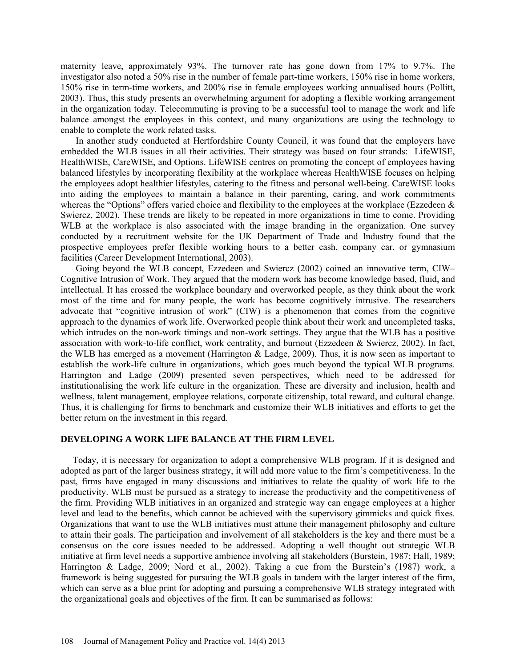maternity leave, approximately 93%. The turnover rate has gone down from 17% to 9.7%. The investigator also noted a 50% rise in the number of female part-time workers, 150% rise in home workers, 150% rise in term-time workers, and 200% rise in female employees working annualised hours (Pollitt, 2003). Thus, this study presents an overwhelming argument for adopting a flexible working arrangement in the organization today. Telecommuting is proving to be a successful tool to manage the work and life balance amongst the employees in this context, and many organizations are using the technology to enable to complete the work related tasks.

In another study conducted at Hertfordshire County Council, it was found that the employers have embedded the WLB issues in all their activities. Their strategy was based on four strands: LifeWISE, HealthWISE, CareWISE, and Options. LifeWISE centres on promoting the concept of employees having balanced lifestyles by incorporating flexibility at the workplace whereas HealthWISE focuses on helping the employees adopt healthier lifestyles, catering to the fitness and personal well-being. CareWISE looks into aiding the employees to maintain a balance in their parenting, caring, and work commitments whereas the "Options" offers varied choice and flexibility to the employees at the workplace (Ezzedeen  $\&$ Swiercz, 2002). These trends are likely to be repeated in more organizations in time to come. Providing WLB at the workplace is also associated with the image branding in the organization. One survey conducted by a recruitment website for the UK Department of Trade and Industry found that the prospective employees prefer flexible working hours to a better cash, company car, or gymnasium facilities (Career Development International, 2003).

Going beyond the WLB concept, Ezzedeen and Swiercz (2002) coined an innovative term, CIW– Cognitive Intrusion of Work. They argued that the modern work has become knowledge based, fluid, and intellectual. It has crossed the workplace boundary and overworked people, as they think about the work most of the time and for many people, the work has become cognitively intrusive. The researchers advocate that "cognitive intrusion of work" (CIW) is a phenomenon that comes from the cognitive approach to the dynamics of work life. Overworked people think about their work and uncompleted tasks, which intrudes on the non-work timings and non-work settings. They argue that the WLB has a positive association with work-to-life conflict, work centrality, and burnout (Ezzedeen & Swiercz, 2002). In fact, the WLB has emerged as a movement (Harrington & Ladge, 2009). Thus, it is now seen as important to establish the work-life culture in organizations, which goes much beyond the typical WLB programs. Harrington and Ladge (2009) presented seven perspectives, which need to be addressed for institutionalising the work life culture in the organization. These are diversity and inclusion, health and wellness, talent management, employee relations, corporate citizenship, total reward, and cultural change. Thus, it is challenging for firms to benchmark and customize their WLB initiatives and efforts to get the better return on the investment in this regard.

#### **DEVELOPING A WORK LIFE BALANCE AT THE FIRM LEVEL**

Today, it is necessary for organization to adopt a comprehensive WLB program. If it is designed and adopted as part of the larger business strategy, it will add more value to the firm's competitiveness. In the past, firms have engaged in many discussions and initiatives to relate the quality of work life to the productivity. WLB must be pursued as a strategy to increase the productivity and the competitiveness of the firm. Providing WLB initiatives in an organized and strategic way can engage employees at a higher level and lead to the benefits, which cannot be achieved with the supervisory gimmicks and quick fixes. Organizations that want to use the WLB initiatives must attune their management philosophy and culture to attain their goals. The participation and involvement of all stakeholders is the key and there must be a consensus on the core issues needed to be addressed. Adopting a well thought out strategic WLB initiative at firm level needs a supportive ambience involving all stakeholders (Burstein, 1987; Hall, 1989; Harrington & Ladge, 2009; Nord et al., 2002). Taking a cue from the Burstein's (1987) work, a framework is being suggested for pursuing the WLB goals in tandem with the larger interest of the firm, which can serve as a blue print for adopting and pursuing a comprehensive WLB strategy integrated with the organizational goals and objectives of the firm. It can be summarised as follows: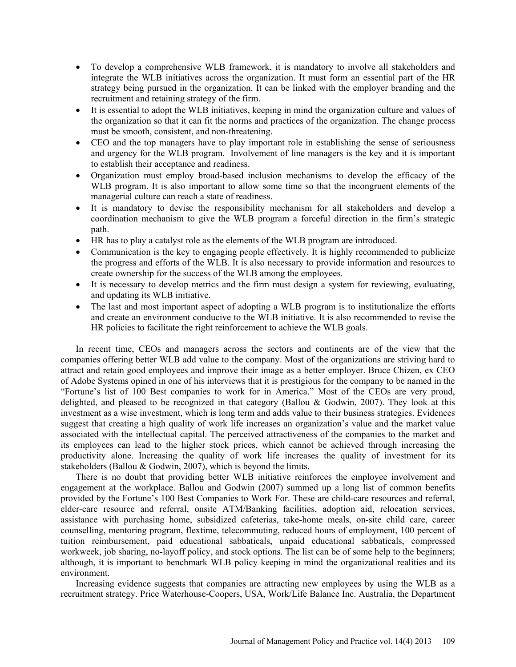- To develop a comprehensive WLB framework, it is mandatory to involve all stakeholders and integrate the WLB initiatives across the organization. It must form an essential part of the HR strategy being pursued in the organization. It can be linked with the employer branding and the recruitment and retaining strategy of the firm.
- It is essential to adopt the WLB initiatives, keeping in mind the organization culture and values of the organization so that it can fit the norms and practices of the organization. The change process must be smooth, consistent, and non-threatening.
- CEO and the top managers have to play important role in establishing the sense of seriousness and urgency for the WLB program. Involvement of line managers is the key and it is important to establish their acceptance and readiness.
- Organization must employ broad-based inclusion mechanisms to develop the efficacy of the WLB program. It is also important to allow some time so that the incongruent elements of the managerial culture can reach a state of readiness.
- It is mandatory to devise the responsibility mechanism for all stakeholders and develop a coordination mechanism to give the WLB program a forceful direction in the firm's strategic path.
- HR has to play a catalyst role as the elements of the WLB program are introduced.
- Communication is the key to engaging people effectively. It is highly recommended to publicize the progress and efforts of the WLB. It is also necessary to provide information and resources to create ownership for the success of the WLB among the employees.
- It is necessary to develop metrics and the firm must design a system for reviewing, evaluating, and updating its WLB initiative.
- The last and most important aspect of adopting a WLB program is to institutionalize the efforts and create an environment conducive to the WLB initiative. It is also recommended to revise the HR policies to facilitate the right reinforcement to achieve the WLB goals.

In recent time, CEOs and managers across the sectors and continents are of the view that the companies offering better WLB add value to the company. Most of the organizations are striving hard to attract and retain good employees and improve their image as a better employer. Bruce Chizen, ex CEO of Adobe Systems opined in one of his interviews that it is prestigious for the company to be named in the "Fortune's list of 100 Best companies to work for in America." Most of the CEOs are very proud, delighted, and pleased to be recognized in that category (Ballou & Godwin, 2007). They look at this investment as a wise investment, which is long term and adds value to their business strategies. Evidences suggest that creating a high quality of work life increases an organization's value and the market value associated with the intellectual capital. The perceived attractiveness of the companies to the market and its employees can lead to the higher stock prices, which cannot be achieved through increasing the productivity alone. Increasing the quality of work life increases the quality of investment for its stakeholders (Ballou & Godwin, 2007), which is beyond the limits.

There is no doubt that providing better WLB initiative reinforces the employee involvement and engagement at the workplace. Ballou and Godwin (2007) summed up a long list of common benefits provided by the Fortune's 100 Best Companies to Work For. These are child-care resources and referral, elder-care resource and referral, onsite ATM/Banking facilities, adoption aid, relocation services, assistance with purchasing home, subsidized cafeterias, take-home meals, on-site child care, career counselling, mentoring program, flextime, telecommuting, reduced hours of employment, 100 percent of tuition reimbursement, paid educational sabbaticals, unpaid educational sabbaticals, compressed workweek, job sharing, no-layoff policy, and stock options. The list can be of some help to the beginners; although, it is important to benchmark WLB policy keeping in mind the organizational realities and its environment.

Increasing evidence suggests that companies are attracting new employees by using the WLB as a recruitment strategy. Price Waterhouse-Coopers, USA, Work/Life Balance Inc. Australia, the Department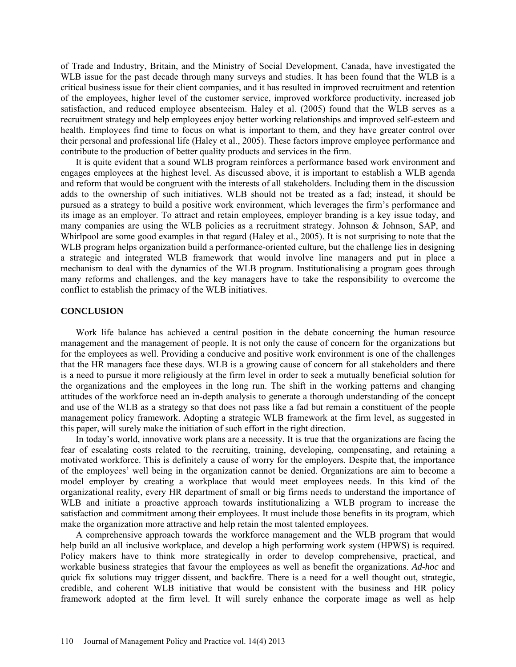of Trade and Industry, Britain, and the Ministry of Social Development, Canada, have investigated the WLB issue for the past decade through many surveys and studies. It has been found that the WLB is a critical business issue for their client companies, and it has resulted in improved recruitment and retention of the employees, higher level of the customer service, improved workforce productivity, increased job satisfaction, and reduced employee absenteeism. Haley et al. (2005) found that the WLB serves as a recruitment strategy and help employees enjoy better working relationships and improved self-esteem and health. Employees find time to focus on what is important to them, and they have greater control over their personal and professional life (Haley et al., 2005). These factors improve employee performance and contribute to the production of better quality products and services in the firm.

It is quite evident that a sound WLB program reinforces a performance based work environment and engages employees at the highest level. As discussed above, it is important to establish a WLB agenda and reform that would be congruent with the interests of all stakeholders. Including them in the discussion adds to the ownership of such initiatives. WLB should not be treated as a fad; instead, it should be pursued as a strategy to build a positive work environment, which leverages the firm's performance and its image as an employer. To attract and retain employees, employer branding is a key issue today, and many companies are using the WLB policies as a recruitment strategy. Johnson & Johnson, SAP, and Whirlpool are some good examples in that regard (Haley et al., 2005). It is not surprising to note that the WLB program helps organization build a performance-oriented culture, but the challenge lies in designing a strategic and integrated WLB framework that would involve line managers and put in place a mechanism to deal with the dynamics of the WLB program. Institutionalising a program goes through many reforms and challenges, and the key managers have to take the responsibility to overcome the conflict to establish the primacy of the WLB initiatives.

### **CONCLUSION**

Work life balance has achieved a central position in the debate concerning the human resource management and the management of people. It is not only the cause of concern for the organizations but for the employees as well. Providing a conducive and positive work environment is one of the challenges that the HR managers face these days. WLB is a growing cause of concern for all stakeholders and there is a need to pursue it more religiously at the firm level in order to seek a mutually beneficial solution for the organizations and the employees in the long run. The shift in the working patterns and changing attitudes of the workforce need an in-depth analysis to generate a thorough understanding of the concept and use of the WLB as a strategy so that does not pass like a fad but remain a constituent of the people management policy framework. Adopting a strategic WLB framework at the firm level, as suggested in this paper, will surely make the initiation of such effort in the right direction.

In today's world, innovative work plans are a necessity. It is true that the organizations are facing the fear of escalating costs related to the recruiting, training, developing, compensating, and retaining a motivated workforce. This is definitely a cause of worry for the employers. Despite that, the importance of the employees' well being in the organization cannot be denied. Organizations are aim to become a model employer by creating a workplace that would meet employees needs. In this kind of the organizational reality, every HR department of small or big firms needs to understand the importance of WLB and initiate a proactive approach towards institutionalizing a WLB program to increase the satisfaction and commitment among their employees. It must include those benefits in its program, which make the organization more attractive and help retain the most talented employees.

A comprehensive approach towards the workforce management and the WLB program that would help build an all inclusive workplace, and develop a high performing work system (HPWS) is required. Policy makers have to think more strategically in order to develop comprehensive, practical, and workable business strategies that favour the employees as well as benefit the organizations. *Ad-hoc* and quick fix solutions may trigger dissent, and backfire. There is a need for a well thought out, strategic, credible, and coherent WLB initiative that would be consistent with the business and HR policy framework adopted at the firm level. It will surely enhance the corporate image as well as help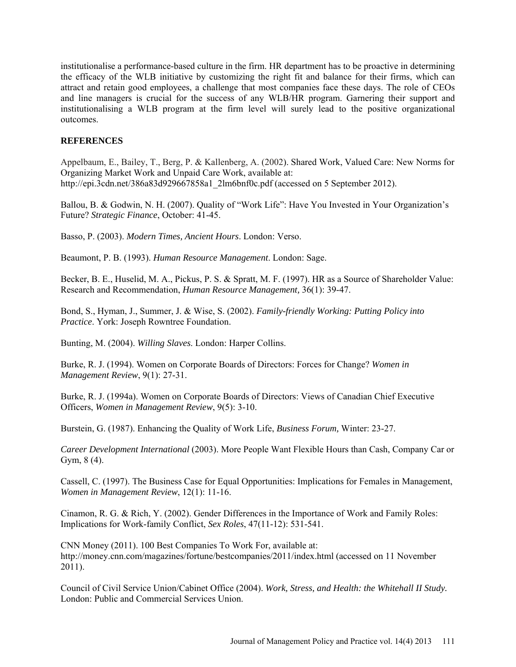institutionalise a performance-based culture in the firm. HR department has to be proactive in determining the efficacy of the WLB initiative by customizing the right fit and balance for their firms, which can attract and retain good employees, a challenge that most companies face these days. The role of CEOs and line managers is crucial for the success of any WLB/HR program. Garnering their support and institutionalising a WLB program at the firm level will surely lead to the positive organizational outcomes.

## **REFERENCES**

Appelbaum, E., Bailey, T., Berg, P. & Kallenberg, A. (2002). Shared Work, Valued Care: New Norms for Organizing Market Work and Unpaid Care Work, available at: [http://epi.3cdn.net/386a83d929667858a1\\_2lm6bnf0c.pdf](http://epi.3cdn.net/386a83d929667858a1_2lm6bnf0c.pdf) (accessed on 5 September 2012).

Ballou, B. & Godwin, N. H. (2007). Quality of "Work Life": Have You Invested in Your Organization's Future? *Strategic Finance*, October: 41-45.

Basso, P. (2003). *Modern Times, Ancient Hours*. London: Verso.

Beaumont, P. B. (1993). *Human Resource Management*. London: Sage.

Becker, B. E., Huselid, M. A., Pickus, P. S. & Spratt, M. F. (1997). HR as a Source of Shareholder Value: Research and Recommendation, *Human Resource Management,* 36(1): 39-47.

Bond, S., Hyman, J., Summer, J. & Wise, S. (2002). *Family-friendly Working: Putting Policy into Practice*. York: Joseph Rowntree Foundation.

Bunting, M. (2004). *Willing Slaves*. London: Harper Collins.

Burke, R. J. (1994). Women on Corporate Boards of Directors: Forces for Change? *Women in Management Review*, 9(1): 27-31.

Burke, R. J. (1994a). Women on Corporate Boards of Directors: Views of Canadian Chief Executive Officers, *Women in Management Review*, 9(5): 3-10.

Burstein, G. (1987). Enhancing the Quality of Work Life, *Business Forum,* Winter: 23-27.

*Career Development International* (2003). More People Want Flexible Hours than Cash, Company Car or Gym, 8 (4).

Cassell, C. (1997). The Business Case for Equal Opportunities: Implications for Females in Management, *Women in Management Review*, 12(1): 11-16.

Cinamon, R. G. & Rich, Y. (2002). Gender Differences in the Importance of Work and Family Roles: Implications for Work-family Conflict, *Sex Roles*, 47(11-12): 531-541.

CNN Money (2011). 100 Best Companies To Work For, available at: <http://money.cnn.com/magazines/fortune/bestcompanies/2011/index.html> (accessed on 11 November 2011).

Council of Civil Service Union/Cabinet Office (2004). *Work, Stress, and Health: the Whitehall II Study.* London: Public and Commercial Services Union.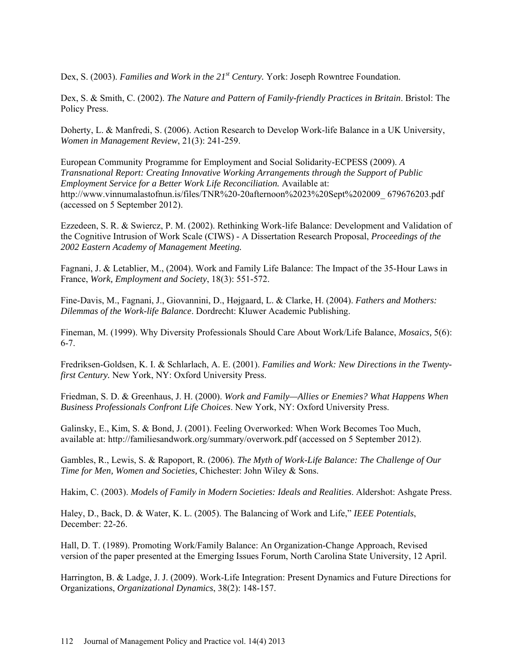Dex, S. (2003). *Families and Work in the 21<sup>st</sup> Century*. York: Joseph Rowntree Foundation.

Dex, S. & Smith, C. (2002). *The Nature and Pattern of Family-friendly Practices in Britain*. Bristol: The Policy Press.

Doherty, L. & Manfredi, S. (2006). Action Research to Develop Work-life Balance in a UK University, *Women in Management Review*, 21(3): 241-259.

European Community Programme for Employment and Social Solidarity-ECPESS (2009). *A Transnational Report: Creating Innovative Working Arrangements through the Support of Public Employment Service for a Better Work Life Reconciliation.* Available at: [http://www.vinnumalastofnun.is/files/TNR%20-20afternoon%2023%20Sept%202009\\_](http://www.vinnumalastofnun.is/files/TNR%20-20afternoon%2023%20Sept%202009_) 679676203.pdf (accessed on 5 September 2012).

Ezzedeen, S. R. & Swiercz, P. M. (2002). Rethinking Work-life Balance: Development and Validation of the Cognitive Intrusion of Work Scale (CIWS) - A Dissertation Research Proposal, *Proceedings of the 2002 Eastern Academy of Management Meeting.*

Fagnani, J. & Letablier, M., (2004). Work and Family Life Balance: The Impact of the 35-Hour Laws in France, *Work, Employment and Society*, 18(3): 551-572.

Fine-Davis, M., Fagnani, J., Giovannini, D., Højgaard, L. & Clarke, H. (2004). *Fathers and Mothers: Dilemmas of the Work-life Balance*. Dordrecht: Kluwer Academic Publishing.

Fineman, M. (1999). Why Diversity Professionals Should Care About Work/Life Balance, *Mosaics,* 5(6): 6-7.

Fredriksen-Goldsen, K. I. & Schlarlach, A. E. (2001). *Families and Work: New Directions in the Twentyfirst Century.* New York, NY: Oxford University Press.

Friedman, S. D. & Greenhaus, J. H. (2000). *Work and Family—Allies or Enemies? What Happens When Business Professionals Confront Life Choices*. New York, NY: Oxford University Press.

Galinsky, E., Kim, S. & Bond, J. (2001). Feeling Overworked: When Work Becomes Too Much, available at:<http://familiesandwork.org/summary/overwork.pdf> (accessed on 5 September 2012).

Gambles, R., Lewis, S. & Rapoport, R. (2006). *The Myth of Work-Life Balance: The Challenge of Our Time for Men, Women and Societies,* Chichester: John Wiley & Sons.

Hakim, C. (2003). *Models of Family in Modern Societies: Ideals and Realities*. Aldershot: Ashgate Press.

Haley, D., Back, D. & Water, K. L. (2005). The Balancing of Work and Life," *IEEE Potentials*, December: 22-26.

Hall, D. T. (1989). Promoting Work/Family Balance: An Organization-Change Approach, Revised version of the paper presented at the Emerging Issues Forum, North Carolina State University, 12 April.

Harrington, B. & Ladge, J. J. (2009). Work-Life Integration: Present Dynamics and Future Directions for Organizations, *Organizational Dynamics*, 38(2): 148-157.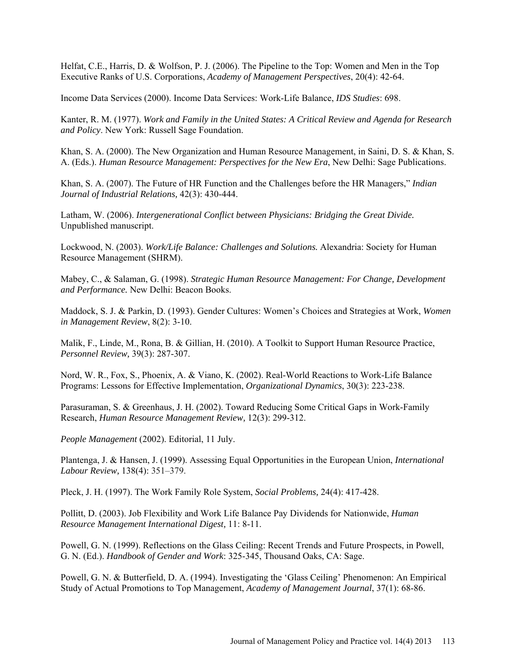Helfat, C.E., Harris, D. & Wolfson, P. J. (2006). The Pipeline to the Top: Women and Men in the Top Executive Ranks of U.S. Corporations, *Academy of Management Perspectives*, 20(4): 42-64.

Income Data Services (2000). Income Data Services: Work-Life Balance, *IDS Studies*: 698.

Kanter, R. M. (1977). *Work and Family in the United States: A Critical Review and Agenda for Research and Policy*. New York: Russell Sage Foundation.

Khan, S. A. (2000). The New Organization and Human Resource Management, in Saini, D. S. & Khan, S. A. (Eds.). *Human Resource Management: Perspectives for the New Era*, New Delhi: Sage Publications.

Khan, S. A. (2007). The Future of HR Function and the Challenges before the HR Managers," *Indian Journal of Industrial Relations,* 42(3): 430-444.

Latham, W. (2006). *Intergenerational Conflict between Physicians: Bridging the Great Divide.* Unpublished manuscript.

Lockwood, N. (2003). *Work/Life Balance: Challenges and Solutions.* Alexandria: Society for Human Resource Management (SHRM).

Mabey, C., & Salaman, G. (1998). *Strategic Human Resource Management: For Change, Development and Performance.* New Delhi: Beacon Books.

Maddock, S. J. & Parkin, D. (1993). Gender Cultures: Women's Choices and Strategies at Work, *Women in Management Review*, 8(2): 3-10.

Malik, F., Linde, M., Rona, B. & Gillian, H. (2010). A Toolkit to Support Human Resource Practice, *Personnel Review,* 39(3): 287-307.

Nord, W. R., Fox, S., Phoenix, A. & Viano, K. (2002). Real-World Reactions to Work-Life Balance Programs: Lessons for Effective Implementation, *Organizational Dynamics*, 30(3): 223-238.

Parasuraman, S. & Greenhaus, J. H. (2002). Toward Reducing Some Critical Gaps in Work-Family Research, *Human Resource Management Review,* 12(3): 299-312.

*People Management* (2002). Editorial, 11 July.

Plantenga, J. & Hansen, J. (1999). Assessing Equal Opportunities in the European Union, *International Labour Review,* 138(4): 351–379.

Pleck, J. H. (1997). The Work Family Role System, *Social Problems,* 24(4): 417-428.

Pollitt, D. (2003). Job Flexibility and Work Life Balance Pay Dividends for Nationwide, *Human Resource Management International Digest,* 11: 8-11.

Powell, G. N. (1999). Reflections on the Glass Ceiling: Recent Trends and Future Prospects, in Powell, G. N. (Ed.). *Handbook of Gender and Work*: 325-345, Thousand Oaks, CA: Sage.

Powell, G. N. & Butterfield, D. A. (1994). Investigating the 'Glass Ceiling' Phenomenon: An Empirical Study of Actual Promotions to Top Management, *Academy of Management Journal*, 37(1): 68-86.